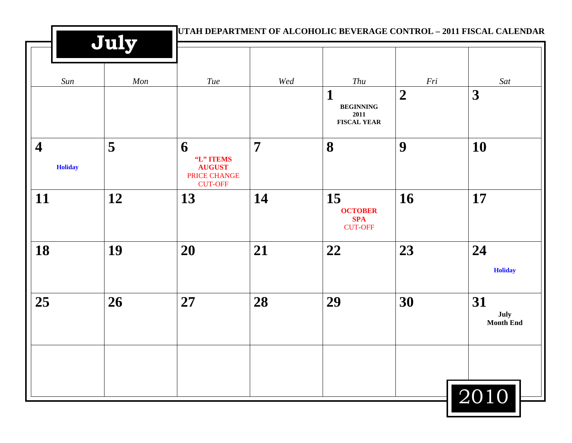|                                           | July |                                                                          |                |                                                      |                |                                |
|-------------------------------------------|------|--------------------------------------------------------------------------|----------------|------------------------------------------------------|----------------|--------------------------------|
| Sun                                       | Mon  | Tue                                                                      | Wed            | Thu                                                  | Fri            | Sat                            |
|                                           |      |                                                                          |                | 1<br><b>BEGINNING</b><br>2011<br><b>FISCAL YEAR</b>  | $\overline{2}$ | 3                              |
| $\overline{\mathbf{4}}$<br><b>Holiday</b> | 5    | 6<br>"L" ITEMS<br><b>AUGUST</b><br><b>PRICE CHANGE</b><br><b>CUT-OFF</b> | $\overline{7}$ | 8                                                    | 9              | 10                             |
| 11                                        | 12   | 13                                                                       | 14             | 15<br><b>OCTOBER</b><br><b>SPA</b><br><b>CUT-OFF</b> | 16             | 17                             |
| 18                                        | 19   | 20                                                                       | 21             | 22                                                   | 23             | 24<br><b>Holiday</b>           |
| 25                                        | 26   | 27                                                                       | 28             | 29                                                   | 30             | 31<br>July<br><b>Month End</b> |
|                                           |      |                                                                          |                |                                                      |                | 2010                           |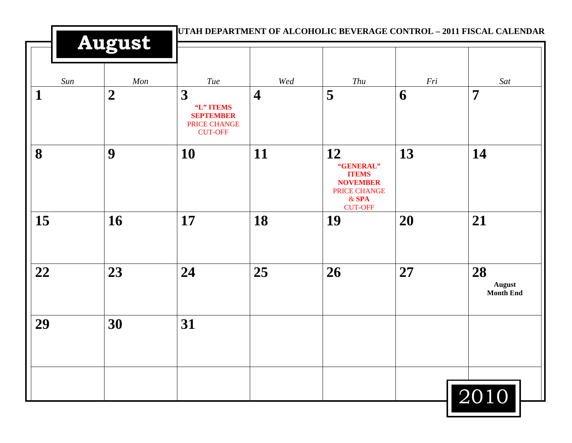| Sun<br>$\mathbf 1$ | Mon<br>$\overline{2}$ | Tue<br>3<br>"L" ITEMS<br><b>SEPTEMBER</b><br>PRICE CHANGE<br><b>CUT-OFF</b> | Wed<br>$\overline{\mathbf{4}}$ | Thu<br>5                                                                                        | Fri<br>6  | Sat<br>$\overline{7}$                   |
|--------------------|-----------------------|-----------------------------------------------------------------------------|--------------------------------|-------------------------------------------------------------------------------------------------|-----------|-----------------------------------------|
| 8                  | 9                     | 10                                                                          | 11                             | 12<br>"GENERAL"<br><b>ITEMS</b><br><b>NOVEMBER</b><br>PRICE CHANGE<br>$&$ SPA<br><b>CUT-OFF</b> | 13        | 14                                      |
| 15                 | 16                    | 17                                                                          | 18                             | 19                                                                                              | <b>20</b> | 21                                      |
| 22                 | 23                    | 24                                                                          | 25                             | 26                                                                                              | 27        | 28<br><b>August</b><br><b>Month End</b> |
| 29                 | 30                    | 31                                                                          |                                |                                                                                                 |           |                                         |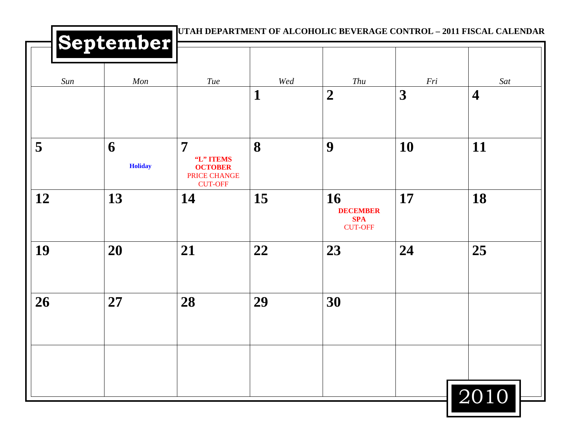|     | September           |                                                                                 |          |                                                       |          |                                |
|-----|---------------------|---------------------------------------------------------------------------------|----------|-------------------------------------------------------|----------|--------------------------------|
| Sun | Mon                 | Tue                                                                             | Wed<br>1 | Thu<br>$\boldsymbol{2}$                               | Fri<br>3 | Sat<br>$\overline{\mathbf{4}}$ |
| 5   | 6<br><b>Holiday</b> | $\overline{7}$<br>"L" ITEMS<br><b>OCTOBER</b><br>PRICE CHANGE<br><b>CUT-OFF</b> | 8        | 9                                                     | 10       | 11                             |
| 12  | 13                  | 14                                                                              | 15       | 16<br><b>DECEMBER</b><br><b>SPA</b><br><b>CUT-OFF</b> | 17       | 18                             |
| 19  | 20                  | 21                                                                              | 22       | 23                                                    | 24       | 25                             |
| 26  | 27                  | 28                                                                              | 29       | 30                                                    |          |                                |
|     |                     |                                                                                 |          |                                                       |          |                                |
|     |                     |                                                                                 |          |                                                       |          | 2010                           |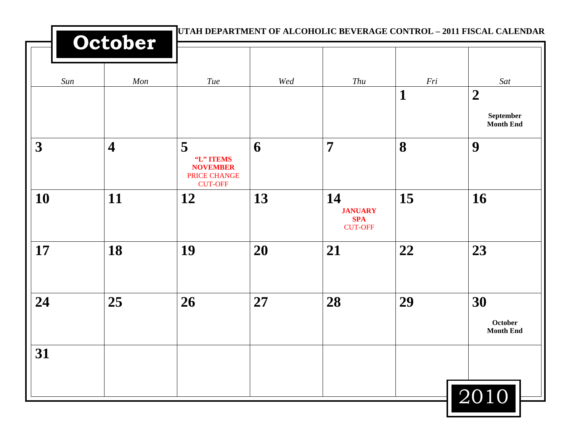|                         | October                 |                                                                     | UTAH DEPARTMENT OF ALCOHOLIC BEVERAGE CONTROL - 2011 FISCAL CALENDAR |                                                      |                |                                                   |
|-------------------------|-------------------------|---------------------------------------------------------------------|----------------------------------------------------------------------|------------------------------------------------------|----------------|---------------------------------------------------|
| Sun                     | Mon                     | Tue                                                                 | Wed                                                                  | Thu                                                  | $\mathit{Fri}$ | Sat                                               |
|                         |                         |                                                                     |                                                                      |                                                      | 1              | $\boldsymbol{2}$<br>September<br><b>Month End</b> |
| $\overline{\mathbf{3}}$ | $\overline{\mathbf{4}}$ | 5<br>"L" ITEMS<br><b>NOVEMBER</b><br>PRICE CHANGE<br><b>CUT-OFF</b> | 6                                                                    | $\overline{7}$                                       | 8              | 9                                                 |
| <b>10</b>               | 11                      | 12                                                                  | 13                                                                   | 14<br><b>JANUARY</b><br><b>SPA</b><br><b>CUT-OFF</b> | 15             | 16                                                |
| 17                      | 18                      | 19                                                                  | 20                                                                   | 21                                                   | 22             | 23                                                |
| 24                      | 25                      | 26                                                                  | 27                                                                   | 28                                                   | 29             | 30<br>October<br><b>Month End</b>                 |
| 31                      |                         |                                                                     |                                                                      |                                                      |                | 2010                                              |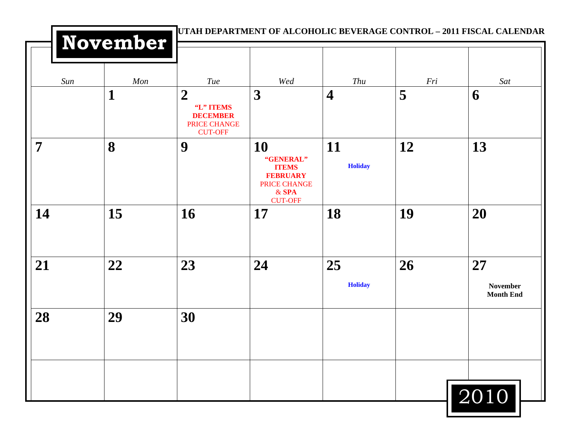|     | November |                                                                                    |                                                                                                 |                         |     |                                           |
|-----|----------|------------------------------------------------------------------------------------|-------------------------------------------------------------------------------------------------|-------------------------|-----|-------------------------------------------|
| Sun | Mon      | <b>Tue</b>                                                                         | Wed                                                                                             | Thu                     | Fri | Sat                                       |
|     | 1        | $\boldsymbol{2}$<br>"L" ITEMS<br><b>DECEMBER</b><br>PRICE CHANGE<br><b>CUT-OFF</b> | 3                                                                                               | $\overline{\mathbf{4}}$ | 5   | 6                                         |
| 7   | 8        | 9                                                                                  | 10<br>"GENERAL"<br><b>ITEMS</b><br><b>FEBRUARY</b><br>PRICE CHANGE<br>$&$ SPA<br><b>CUT-OFF</b> | 11<br><b>Holiday</b>    | 12  | 13                                        |
| 14  | 15       | 16                                                                                 | 17                                                                                              | 18                      | 19  | 20                                        |
| 21  | 22       | 23                                                                                 | 24                                                                                              | 25<br><b>Holiday</b>    | 26  | 27<br><b>November</b><br><b>Month End</b> |
| 28  | 29       | 30                                                                                 |                                                                                                 |                         |     |                                           |
|     |          |                                                                                    |                                                                                                 |                         |     | 2010                                      |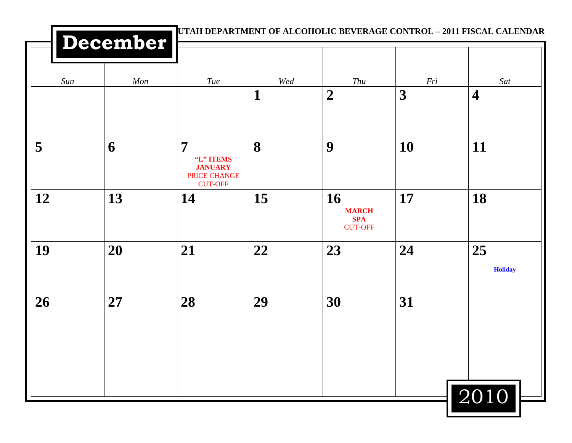|     | December |                                                                                 |          | UTAH DEPARTMENT OF ALCOHOLIC BEVERAGE CONTROL - 2011 FISCAL CALENDAR |           |                                |
|-----|----------|---------------------------------------------------------------------------------|----------|----------------------------------------------------------------------|-----------|--------------------------------|
| Sun | Mon      | Tue                                                                             | Wed<br>1 | Thu<br>$\boldsymbol{2}$                                              | Fri<br>3  | Sat<br>$\overline{\mathbf{4}}$ |
|     |          |                                                                                 |          |                                                                      |           |                                |
| 5   | 6        | $\overline{7}$<br>"L" ITEMS<br><b>JANUARY</b><br>PRICE CHANGE<br><b>CUT-OFF</b> | 8        | 9                                                                    | <b>10</b> | 11                             |
| 12  | 13       | 14                                                                              | 15       | 16<br><b>MARCH</b><br><b>SPA</b><br><b>CUT-OFF</b>                   | 17        | 18                             |
| 19  | 20       | 21                                                                              | 22       | 23                                                                   | 24        | 25<br><b>Holiday</b>           |
| 26  | 27       | 28                                                                              | 29       | 30                                                                   | 31        |                                |
|     |          |                                                                                 |          |                                                                      |           |                                |
|     |          |                                                                                 |          |                                                                      |           | 2010                           |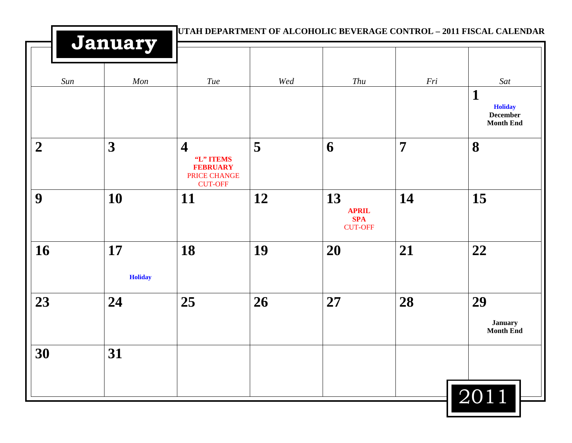|                  | January                 |                                                                                           |     |                                                    | UTAH DEPARTMENT OF ALCOHOLIC BEVERAGE CONTROL - 2011 FISCAL CALENDAR |                                                                              |
|------------------|-------------------------|-------------------------------------------------------------------------------------------|-----|----------------------------------------------------|----------------------------------------------------------------------|------------------------------------------------------------------------------|
| Sun              | Mon                     | Tue                                                                                       | Wed | Thu                                                | Fri                                                                  | Sat<br>$\mathbf{1}$<br><b>Holiday</b><br><b>December</b><br><b>Month End</b> |
| $\boldsymbol{2}$ | $\overline{\mathbf{3}}$ | $\overline{\mathbf{4}}$<br>"L" ITEMS<br><b>FEBRUARY</b><br>PRICE CHANGE<br><b>CUT-OFF</b> | 5   | 6                                                  | $\overline{7}$                                                       | 8                                                                            |
| 9                | 10                      | <b>11</b>                                                                                 | 12  | 13<br><b>APRIL</b><br><b>SPA</b><br><b>CUT-OFF</b> | 14                                                                   | 15                                                                           |
| 16               | 17<br><b>Holiday</b>    | 18                                                                                        | 19  | 20                                                 | 21                                                                   | 22                                                                           |
| 23               | 24                      | 25                                                                                        | 26  | 27                                                 | 28                                                                   | 29<br><b>January</b><br><b>Month End</b>                                     |
| 30               | 31                      |                                                                                           |     |                                                    |                                                                      | 2011                                                                         |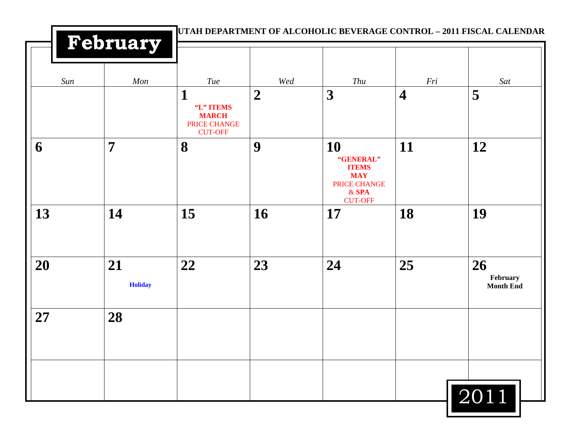|     | February             |                                                                  |                | UTAH DEPARTMENT OF ALCOHOLIC BEVERAGE CONTROL - 2011 FISCAL CALENDAR                       |                         |                                    |
|-----|----------------------|------------------------------------------------------------------|----------------|--------------------------------------------------------------------------------------------|-------------------------|------------------------------------|
| Sun | Mon                  | Tue                                                              | Wed            | Thu                                                                                        | Fri                     | Sat                                |
|     |                      | 1<br>"L" ITEMS<br><b>MARCH</b><br>PRICE CHANGE<br><b>CUT-OFF</b> | $\overline{2}$ | 3                                                                                          | $\overline{\mathbf{4}}$ | 5                                  |
| 6   | $\overline{7}$       | 8                                                                | 9              | 10<br>"GENERAL"<br><b>ITEMS</b><br><b>MAY</b><br>PRICE CHANGE<br>$&$ SPA<br><b>CUT-OFF</b> | 11                      | 12                                 |
| 13  | 14                   | 15                                                               | 16             | 17                                                                                         | 18                      | 19                                 |
| 20  | 21<br><b>Holiday</b> | 22                                                               | 23             | 24                                                                                         | 25                      | 26<br>February<br><b>Month End</b> |
| 27  | 28                   |                                                                  |                |                                                                                            |                         |                                    |
|     |                      |                                                                  |                |                                                                                            |                         | 2011                               |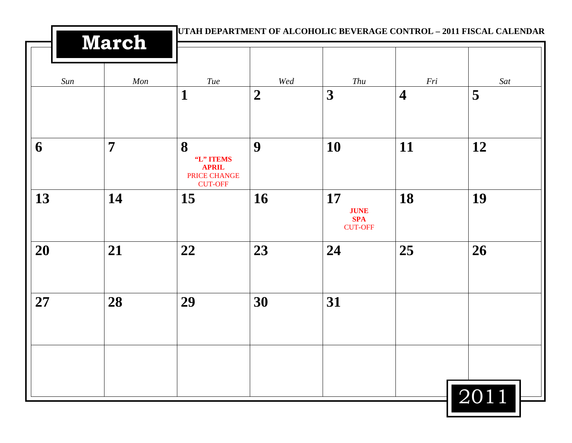|     | March          |                                                                  |                | UTAH DEPARTMENT OF ALCOHOLIC BEVERAGE CONTROL - 2011 FISCAL CALENDAR |                         |      |  |
|-----|----------------|------------------------------------------------------------------|----------------|----------------------------------------------------------------------|-------------------------|------|--|
| Sun | Mon            | Tue                                                              | Wed            | Thu                                                                  | Fri                     | Sat  |  |
|     |                | 1                                                                | $\overline{2}$ | 3                                                                    | $\overline{\mathbf{4}}$ | 5    |  |
| 6   | $\overline{7}$ | 8<br>"L" ITEMS<br><b>APRIL</b><br>PRICE CHANGE<br><b>CUT-OFF</b> | 9              | 10                                                                   | 11                      | 12   |  |
| 13  | 14             | 15                                                               | 16             | 17<br><b>JUNE</b><br><b>SPA</b><br><b>CUT-OFF</b>                    | 18                      | 19   |  |
| 20  | 21             | 22                                                               | 23             | 24                                                                   | 25                      | 26   |  |
| 27  | 28             | 29                                                               | 30             | 31                                                                   |                         |      |  |
|     |                |                                                                  |                |                                                                      |                         |      |  |
|     |                |                                                                  |                |                                                                      |                         | 2011 |  |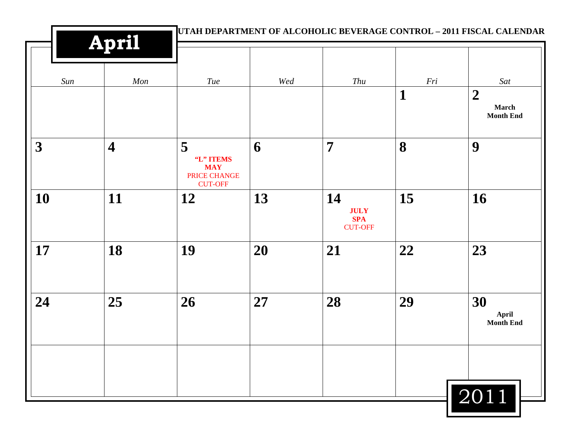| <b>April</b>            |                         |                                                                |     | UTAH DEPARTMENT OF ALCOHOLIC BEVERAGE CONTROL - 2011 FISCAL CALENDAR |             |                                                      |  |
|-------------------------|-------------------------|----------------------------------------------------------------|-----|----------------------------------------------------------------------|-------------|------------------------------------------------------|--|
| Sun                     | Mon                     | <b>Tue</b>                                                     | Wed | Thu                                                                  | Fri         | Sat                                                  |  |
|                         |                         |                                                                |     |                                                                      | $\mathbf 1$ | $\boldsymbol{2}$<br><b>March</b><br><b>Month End</b> |  |
| $\overline{\mathbf{3}}$ | $\overline{\mathbf{4}}$ | 5<br>"L" ITEMS<br><b>MAY</b><br>PRICE CHANGE<br><b>CUT-OFF</b> | 6   | $\overline{7}$                                                       | 8           | 9                                                    |  |
| 10                      | 11                      | 12                                                             | 13  | 14<br><b>JULY</b><br><b>SPA</b><br><b>CUT-OFF</b>                    | 15          | 16                                                   |  |
| 17                      | 18                      | 19                                                             | 20  | 21                                                                   | 22          | 23                                                   |  |
| 24                      | 25                      | 26                                                             | 27  | 28                                                                   | 29          | 30<br>April<br>Month End                             |  |
|                         |                         |                                                                |     |                                                                      |             | 2011                                                 |  |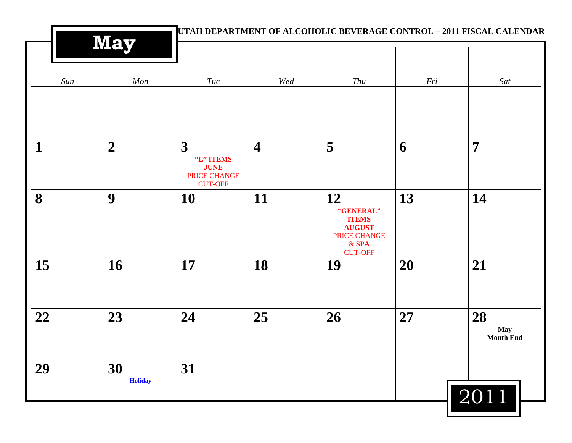|              | <b>May</b>           |                                                                 |                         | UTAH DEPARTMENT OF ALCOHOLIC BEVERAGE CONTROL - 2011 FISCAL CALENDAR        |     |                                      |
|--------------|----------------------|-----------------------------------------------------------------|-------------------------|-----------------------------------------------------------------------------|-----|--------------------------------------|
| Sun          | Mon                  | Tue                                                             | Wed                     | Thu                                                                         | Fri | Sat                                  |
| $\mathbf{1}$ | $\boldsymbol{2}$     | 3<br>"L" ITEMS<br><b>JUNE</b><br>PRICE CHANGE<br><b>CUT-OFF</b> | $\overline{\mathbf{4}}$ | 5                                                                           | 6   | $\overline{7}$                       |
| 8            | 9                    | 10                                                              | 11                      | 12<br>"GENERAL"<br><b>ITEMS</b><br><b>AUGUST</b><br>PRICE CHANGE<br>$&$ SPA | 13  | 14                                   |
| 15           | 16                   | 17                                                              | 18                      | <b>CUT-OFF</b><br>19                                                        | 20  | 21                                   |
| 22           | 23                   | 24                                                              | 25                      | 26                                                                          | 27  | 28<br><b>May</b><br><b>Month End</b> |
| 29           | 30<br><b>Holiday</b> | 31                                                              |                         |                                                                             |     | 2011                                 |